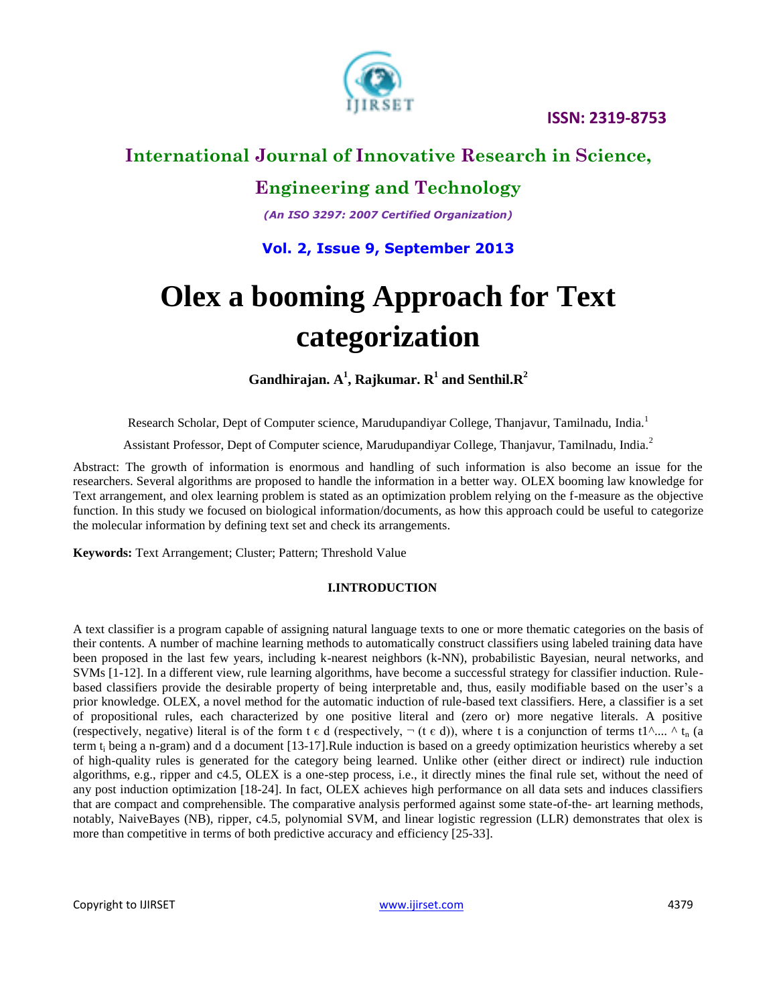

**ISSN: 2319-8753**

# **International Journal of Innovative Research in Science,**

# **Engineering and Technology**

*(An ISO 3297: 2007 Certified Organization)*

**Vol. 2, Issue 9, September 2013**

# **Olex a booming Approach for Text categorization**

**Gandhirajan. A<sup>1</sup> , Rajkumar. R<sup>1</sup> and Senthil.R<sup>2</sup>**

Research Scholar, Dept of Computer science, Marudupandiyar College, Thanjavur, Tamilnadu, India.<sup>1</sup>

Assistant Professor, Dept of Computer science, Marudupandiyar College, Thanjavur, Tamilnadu, India.<sup>2</sup>

Abstract: The growth of information is enormous and handling of such information is also become an issue for the researchers. Several algorithms are proposed to handle the information in a better way. OLEX booming law knowledge for Text arrangement, and olex learning problem is stated as an optimization problem relying on the f-measure as the objective function. In this study we focused on biological information/documents, as how this approach could be useful to categorize the molecular information by defining text set and check its arrangements.

**Keywords:** Text Arrangement; Cluster; Pattern; Threshold Value

### **I.INTRODUCTION**

A text classifier is a program capable of assigning natural language texts to one or more thematic categories on the basis of their contents. A number of machine learning methods to automatically construct classifiers using labeled training data have been proposed in the last few years, including k-nearest neighbors (k-NN), probabilistic Bayesian, neural networks, and SVMs [1-12]. In a different view, rule learning algorithms, have become a successful strategy for classifier induction. Rulebased classifiers provide the desirable property of being interpretable and, thus, easily modifiable based on the user's a prior knowledge. OLEX, a novel method for the automatic induction of rule-based text classifiers. Here, a classifier is a set of propositional rules, each characterized by one positive literal and (zero or) more negative literals. A positive (respectively, negative) literal is of the form t  $\epsilon$  d (respectively,  $\neg$  (t  $\epsilon$  d)), where t is a conjunction of terms t1^.... ^ t<sub>n</sub> (a term  $t_i$  being a n-gram) and d a document [13-17]. Rule induction is based on a greedy optimization heuristics whereby a set of high-quality rules is generated for the category being learned. Unlike other (either direct or indirect) rule induction algorithms, e.g., ripper and c4.5, OLEX is a one-step process, i.e., it directly mines the final rule set, without the need of any post induction optimization [18-24]. In fact, OLEX achieves high performance on all data sets and induces classifiers that are compact and comprehensible. The comparative analysis performed against some state-of-the- art learning methods, notably, NaiveBayes (NB), ripper, c4.5, polynomial SVM, and linear logistic regression (LLR) demonstrates that olex is more than competitive in terms of both predictive accuracy and efficiency [25-33].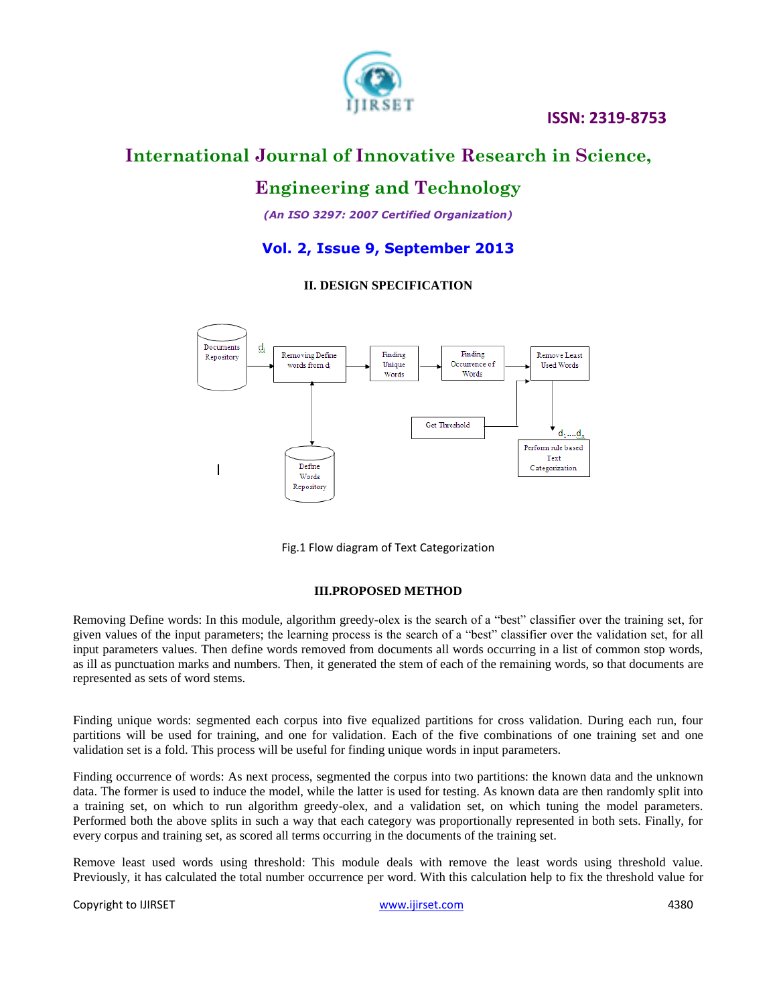

# **International Journal of Innovative Research in Science,**

# **Engineering and Technology**

*(An ISO 3297: 2007 Certified Organization)*

### **Vol. 2, Issue 9, September 2013**

### **II. DESIGN SPECIFICATION**



Fig.1 Flow diagram of Text Categorization

### **III.PROPOSED METHOD**

Removing Define words: In this module, algorithm greedy-olex is the search of a "best" classifier over the training set, for given values of the input parameters; the learning process is the search of a "best" classifier over the validation set, for all input parameters values. Then define words removed from documents all words occurring in a list of common stop words, as ill as punctuation marks and numbers. Then, it generated the stem of each of the remaining words, so that documents are represented as sets of word stems.

Finding unique words: segmented each corpus into five equalized partitions for cross validation. During each run, four partitions will be used for training, and one for validation. Each of the five combinations of one training set and one validation set is a fold. This process will be useful for finding unique words in input parameters.

Finding occurrence of words: As next process, segmented the corpus into two partitions: the known data and the unknown data. The former is used to induce the model, while the latter is used for testing. As known data are then randomly split into a training set, on which to run algorithm greedy-olex, and a validation set, on which tuning the model parameters. Performed both the above splits in such a way that each category was proportionally represented in both sets. Finally, for every corpus and training set, as scored all terms occurring in the documents of the training set.

Remove least used words using threshold: This module deals with remove the least words using threshold value. Previously, it has calculated the total number occurrence per word. With this calculation help to fix the threshold value for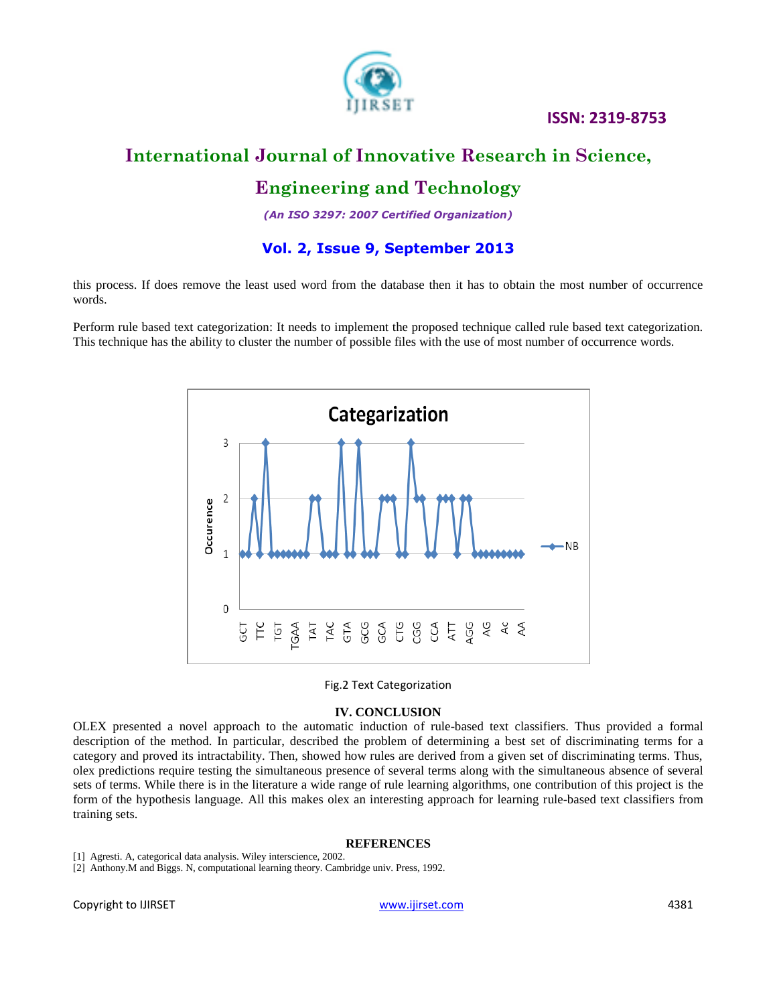

### **ISSN: 2319-8753**

# **International Journal of Innovative Research in Science, Engineering and Technology**

# *(An ISO 3297: 2007 Certified Organization)*

**Vol. 2, Issue 9, September 2013**

this process. If does remove the least used word from the database then it has to obtain the most number of occurrence words.

Perform rule based text categorization: It needs to implement the proposed technique called rule based text categorization. This technique has the ability to cluster the number of possible files with the use of most number of occurrence words.



Fig.2 Text Categorization

### **IV. CONCLUSION**

OLEX presented a novel approach to the automatic induction of rule-based text classifiers. Thus provided a formal description of the method. In particular, described the problem of determining a best set of discriminating terms for a category and proved its intractability. Then, showed how rules are derived from a given set of discriminating terms. Thus, olex predictions require testing the simultaneous presence of several terms along with the simultaneous absence of several sets of terms. While there is in the literature a wide range of rule learning algorithms, one contribution of this project is the form of the hypothesis language. All this makes olex an interesting approach for learning rule-based text classifiers from training sets.

### **REFERENCES**

[1] Agresti. A, categorical data analysis. Wiley interscience, 2002.

[2] Anthony.M and Biggs. N, computational learning theory. Cambridge univ. Press, 1992.